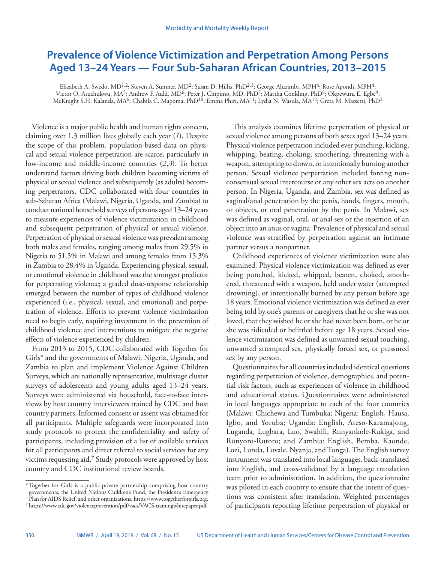# **Prevalence of Violence Victimization and Perpetration Among Persons Aged 13–24 Years — Four Sub-Saharan African Countries, 2013–2015**

Elizabeth A. Swedo, MD<sup>1,2</sup>; Steven A. Sumner, MD<sup>2</sup>; Susan D. Hillis, PhD<sup>2,3</sup>; George Aluzimbi, MPH<sup>4</sup>; Rose Apondi, MPH<sup>4</sup>; Victor O. Atuchukwu, MA<sup>5</sup>; Andrew F. Auld, MD<sup>6</sup>; Peter J. Chipimo, MD, PhD<sup>7</sup>; Martha Conkling, PhD<sup>8</sup>; Okpewuru E. Egbe<sup>9</sup>; McKnight S.H. Kalanda, MA<sup>6</sup>; Chabila C. Mapoma, PhD<sup>10</sup>; Emma Phiri, MA<sup>11</sup>; Lydia N. Wasula, MA<sup>12</sup>; Greta M. Massetti, PhD<sup>2</sup>

Violence is a major public health and human rights concern, claiming over 1.3 million lives globally each year (*1*). Despite the scope of this problem, population-based data on physical and sexual violence perpetration are scarce, particularly in low-income and middle-income countries (*2*,*3*). To better understand factors driving both children becoming victims of physical or sexual violence and subsequently (as adults) becoming perpetrators, CDC collaborated with four countries in sub-Saharan Africa (Malawi, Nigeria, Uganda, and Zambia) to conduct national household surveys of persons aged 13–24 years to measure experiences of violence victimization in childhood and subsequent perpetration of physical or sexual violence. Perpetration of physical or sexual violence was prevalent among both males and females, ranging among males from 29.5% in Nigeria to 51.5% in Malawi and among females from 15.3% in Zambia to 28.4% in Uganda. Experiencing physical, sexual, or emotional violence in childhood was the strongest predictor for perpetrating violence; a graded dose-response relationship emerged between the number of types of childhood violence experienced (i.e., physical, sexual, and emotional) and perpetration of violence. Efforts to prevent violence victimization need to begin early, requiring investment in the prevention of childhood violence and interventions to mitigate the negative effects of violence experienced by children.

From 2013 to 2015, CDC collaborated with Together for Girls\* and the governments of Malawi, Nigeria, Uganda, and Zambia to plan and implement Violence Against Children Surveys, which are nationally representative, multistage cluster surveys of adolescents and young adults aged 13–24 years. Surveys were administered via household, face-to-face interviews by host country interviewers trained by CDC and host country partners. Informed consent or assent was obtained for all participants. Multiple safeguards were incorporated into study protocols to protect the confidentiality and safety of participants, including provision of a list of available services for all participants and direct referral to social services for any victims requesting aid.† Study protocols were approved by host country and CDC institutional review boards.

This analysis examines lifetime perpetration of physical or sexual violence among persons of both sexes aged 13–24 years. Physical violence perpetration included ever punching, kicking, whipping, beating, choking, smothering, threatening with a weapon, attempting to drown, or intentionally burning another person. Sexual violence perpetration included forcing nonconsensual sexual intercourse or any other sex acts on another person. In Nigeria, Uganda, and Zambia, sex was defined as vaginal/anal penetration by the penis, hands, fingers, mouth, or objects, or oral penetration by the penis. In Malawi, sex was defined as vaginal, oral, or anal sex or the insertion of an object into an anus or vagina. Prevalence of physical and sexual violence was stratified by perpetration against an intimate partner versus a nonpartner.

Childhood experiences of violence victimization were also examined. Physical violence victimization was defined as ever being punched, kicked, whipped, beaten, choked, smothered, threatened with a weapon, held under water (attempted drowning), or intentionally burned by any person before age 18 years. Emotional violence victimization was defined as ever being told by one's parents or caregivers that he or she was not loved, that they wished he or she had never been born, or he or she was ridiculed or belittled before age 18 years. Sexual violence victimization was defined as unwanted sexual touching, unwanted attempted sex, physically forced sex, or pressured sex by any person.

Questionnaires for all countries included identical questions regarding perpetration of violence, demographics, and potential risk factors, such as experiences of violence in childhood and educational status. Questionnaires were administered in local languages appropriate to each of the four countries (Malawi: Chichewa and Tumbuka; Nigeria: English, Hausa, Igbo, and Yoruba; Uganda: English, Ateso-Karamajong, Luganda, Lugbara, Luo, Swahili, Runyankole-Rukiga, and Runyoro-Rutoro; and Zambia: English, Bemba, Kaonde, Lozi, Lunda, Luvale, Nyanja, and Tonga). The English survey instrument was translated into local languages, back-translated into English, and cross-validated by a language translation team prior to administration. In addition, the questionnaire was piloted in each country to ensure that the intent of questions was consistent after translation. Weighted percentages of participants reporting lifetime perpetration of physical or

<sup>\*</sup>Together for Girls is a public-private partnership comprising host country governments, the United Nations Children's Fund, the President's Emergency Plan for AIDS Relief, and other organizations. [https://www.togetherforgirls.org](https://www.togetherforgirls.org/). † [https://www.cdc.gov/violenceprevention/pdf/vacs/VACS-trainingwhitepaper.pdf.](https://www.cdc.gov/violenceprevention/pdf/vacs/VACS-trainingwhitepaper.pdf)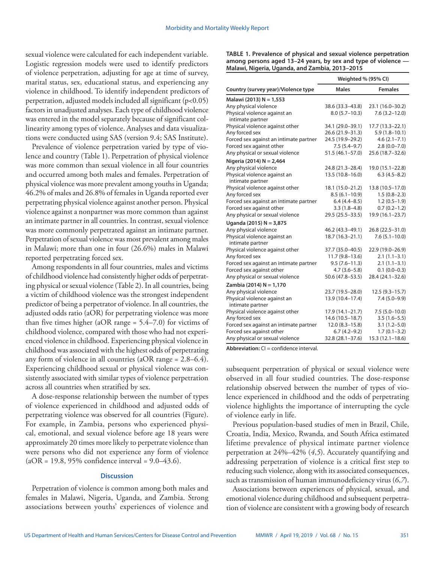sexual violence were calculated for each independent variable. Logistic regression models were used to identify predictors of violence perpetration, adjusting for age at time of survey, marital status, sex, educational status, and experiencing any violence in childhood. To identify independent predictors of perpetration, adjusted models included all significant (p<0.05) factors in unadjusted analyses. Each type of childhood violence was entered in the model separately because of significant collinearity among types of violence. Analyses and data visualizations were conducted using SAS (version 9.4; SAS Institute).

Prevalence of violence perpetration varied by type of violence and country (Table 1). Perpetration of physical violence was more common than sexual violence in all four countries and occurred among both males and females. Perpetration of physical violence was more prevalent among youths in Uganda; 46.2% of males and 26.8% of females in Uganda reported ever perpetrating physical violence against another person. Physical violence against a nonpartner was more common than against an intimate partner in all countries. In contrast, sexual violence was more commonly perpetrated against an intimate partner. Perpetration of sexual violence was most prevalent among males in Malawi; more than one in four (26.6%) males in Malawi reported perpetrating forced sex.

Among respondents in all four countries, males and victims of childhood violence had consistently higher odds of perpetrating physical or sexual violence (Table 2). In all countries, being a victim of childhood violence was the strongest independent predictor of being a perpetrator of violence. In all countries, the adjusted odds ratio (aOR) for perpetrating violence was more than five times higher (aOR range  $= 5.4 - 7.0$ ) for victims of childhood violence, compared with those who had not experienced violence in childhood. Experiencing physical violence in childhood was associated with the highest odds of perpetrating any form of violence in all countries (aOR range = 2.8–6.4). Experiencing childhood sexual or physical violence was consistently associated with similar types of violence perpetration across all countries when stratified by sex.

A dose-response relationship between the number of types of violence experienced in childhood and adjusted odds of perpetrating violence was observed for all countries (Figure). For example, in Zambia, persons who experienced physical, emotional, and sexual violence before age 18 years were approximately 20 times more likely to perpetrate violence than were persons who did not experience any form of violence  $(aOR = 19.8, 95\%$  confidence interval =  $9.0-43.6$ ).

# **Discussion**

Perpetration of violence is common among both males and females in Malawi, Nigeria, Uganda, and Zambia. Strong associations between youths' experiences of violence and **TABLE 1. Prevalence of physical and sexual violence perpetration among persons aged 13–24 years, by sex and type of violence — Malawi, Nigeria, Uganda, and Zambia, 2013–2015**

|                                                  | Weighted % (95% CI) |                     |  |  |  |
|--------------------------------------------------|---------------------|---------------------|--|--|--|
| Country (survey year)/Violence type              | <b>Males</b>        | <b>Females</b>      |  |  |  |
| Malawi (2013) N = 1,553                          |                     |                     |  |  |  |
| Any physical violence                            | 38.6 (33.3-43.8)    | 23.1 (16.0-30.2)    |  |  |  |
| Physical violence against an<br>intimate partner | $8.0(5.7-10.3)$     | $7.6(3.2 - 12.0)$   |  |  |  |
| Physical violence against other                  | 34.1 (29.0-39.1)    | 17.7 (13.3–22.1)    |  |  |  |
| Any forced sex                                   | 26.6 (21.9-31.3)    | $5.9(1.8 - 10.1)$   |  |  |  |
| Forced sex against an intimate partner           | 24.5 (19.9-29.2)    | $4.6(2.1 - 7.1)$    |  |  |  |
| Forced sex against other                         | $7.5(5.4-9.7)$      | $2.8(0.0 - 7.0)$    |  |  |  |
| Any physical or sexual violence                  | $51.5(46.1 - 57.0)$ | 25.6 (18.7-32.6)    |  |  |  |
| Nigeria (2014) N = 2,464                         |                     |                     |  |  |  |
| Any physical violence                            | 24.8 (21.3-28.4)    | 19.0 (15.1-22.8)    |  |  |  |
| Physical violence against an<br>intimate partner | 13.5 (10.8-16.0)    | $6.3(4.5-8.2)$      |  |  |  |
| Physical violence against other                  | 18.1 (15.0-21.2)    | 13.8 (10.5-17.0)    |  |  |  |
| Any forced sex                                   | $8.5(6.1-10.9)$     | $1.5(0.8-2.3)$      |  |  |  |
| Forced sex against an intimate partner           | $6.4(4.4 - 8.5)$    | $1.2(0.5-1.9)$      |  |  |  |
| Forced sex against other                         | $3.3(1.8-4.8)$      | $0.7(0.2-1.2)$      |  |  |  |
| Any physical or sexual violence                  | 29.5 (25.5-33.5)    | 19.9 (16.1-23.7)    |  |  |  |
| Uganda (2015) N = 3,875                          |                     |                     |  |  |  |
| Any physical violence                            | 46.2 (43.3-49.1)    | 26.8 (22.5 - 31.0)  |  |  |  |
| Physical violence against an<br>intimate partner | $18.7(16.3 - 21.1)$ | $7.6(5.1 - 10.0)$   |  |  |  |
| Physical violence against other                  | 37.7 (35.0-40.5)    | 22.9 (19.0-26.9)    |  |  |  |
| Any forced sex                                   | $11.7(9.8-13.6)$    | $2.1(1.1-3.1)$      |  |  |  |
| Forced sex against an intimate partner           | $9.5(7.6 - 11.3)$   | $2.1(1.1-3.1)$      |  |  |  |
| Forced sex against other                         | $4.7(3.6 - 5.8)$    | $0.1(0.0-0.3)$      |  |  |  |
| Any physical or sexual violence                  | 50.6 (47.8-53.5)    | 28.4 (24.1-32.6)    |  |  |  |
| Zambia (2014) N = 1,170                          |                     |                     |  |  |  |
| Any physical violence                            | 23.7 (19.5-28.0)    | $12.5(9.3 - 15.7)$  |  |  |  |
| Physical violence against an<br>intimate partner | 13.9 (10.4-17.4)    | $7.4(5.0-9.9)$      |  |  |  |
| Physical violence against other                  | 17.9 (14.1-21.7)    | $7.5(5.0-10.0)$     |  |  |  |
| Any forced sex                                   | 14.6 (10.5-18.7)    | $3.5(1.6-5.5)$      |  |  |  |
| Forced sex against an intimate partner           | $12.0(8.3 - 15.8)$  | $3.1(1.2 - 5.0)$    |  |  |  |
| Forced sex against other                         | $6.7(4.2-9.2)$      | $1.7(0.1 - 3.2)$    |  |  |  |
| Any physical or sexual violence                  | 32.8 (28.1-37.6)    | $15.3(12.1 - 18.6)$ |  |  |  |

**Abbreviation:** CI = confidence interval.

subsequent perpetration of physical or sexual violence were observed in all four studied countries. The dose-response relationship observed between the number of types of violence experienced in childhood and the odds of perpetrating violence highlights the importance of interrupting the cycle of violence early in life.

Previous population-based studies of men in Brazil, Chile, Croatia, India, Mexico, Rwanda, and South Africa estimated lifetime prevalence of physical intimate partner violence perpetration at 24%–42% (*4*,*5*). Accurately quantifying and addressing perpetration of violence is a critical first step to reducing such violence, along with its associated consequences, such as transmission of human immunodeficiency virus (*6*,*7*).

Associations between experiences of physical, sexual, and emotional violence during childhood and subsequent perpetration of violence are consistent with a growing body of research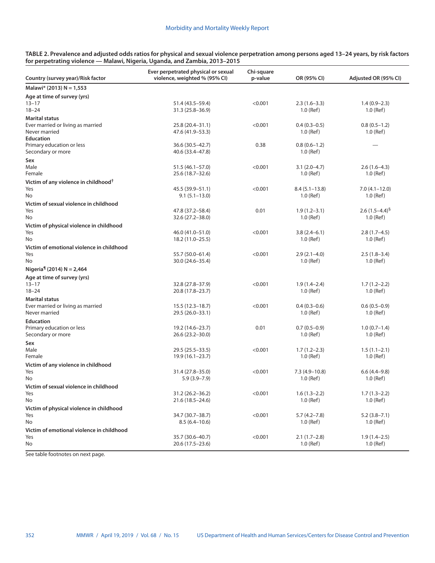| TABLE 2. Prevalence and adjusted odds ratios for physical and sexual violence perpetration among persons aged 13-24 years, by risk factors |
|--------------------------------------------------------------------------------------------------------------------------------------------|
| for perpetrating violence — Malawi, Nigeria, Uganda, and Zambia, 2013–2015                                                                 |

| Country (survey year)/Risk factor                                           | Ever perpetrated physical or sexual<br>violence, weighted % (95% CI) | Chi-square<br>p-value | OR (95% CI)                      | Adjusted OR (95% CI)               |
|-----------------------------------------------------------------------------|----------------------------------------------------------------------|-----------------------|----------------------------------|------------------------------------|
| Malawi* (2013) N = 1,553                                                    |                                                                      |                       |                                  |                                    |
| Age at time of survey (yrs)<br>$13 - 17$<br>$18 - 24$                       | 51.4 (43.5 - 59.4)<br>31.3 (25.8-36.9)                               | < 0.001               | $2.3(1.6-3.3)$<br>$1.0$ (Ref)    | $1.4(0.9-2.3)$<br>$1.0$ (Ref)      |
| <b>Marital status</b><br>Ever married or living as married<br>Never married | 25.8 (20.4–31.1)<br>47.6 (41.9 - 53.3)                               | < 0.001               | $0.4(0.3-0.5)$<br>$1.0$ (Ref)    | $0.8(0.5-1.2)$<br>$1.0$ (Ref)      |
| <b>Education</b><br>Primary education or less<br>Secondary or more          | 36.6 (30.5-42.7)<br>40.6 (33.4-47.8)                                 | 0.38                  | $0.8(0.6-1.2)$<br>$1.0$ (Ref)    |                                    |
| Sex<br>Male<br>Female                                                       | $51.5(46.1 - 57.0)$<br>25.6 (18.7–32.6)                              | < 0.001               | $3.1(2.0-4.7)$<br>$1.0$ (Ref)    | $2.6(1.6-4.3)$<br>$1.0$ (Ref)      |
| Victim of any violence in childhood <sup>†</sup><br>Yes<br>No               | 45.5 (39.9 - 51.1)<br>$9.1(5.1 - 13.0)$                              | < 0.001               | $8.4(5.1-13.8)$<br>$1.0$ (Ref)   | $7.0(4.1-12.0)$<br>$1.0$ (Ref)     |
| Victim of sexual violence in childhood<br>Yes<br>No                         | 47.8 (37.2-58.4)<br>32.6 (27.2-38.0)                                 | 0.01                  | $1.9(1.2 - 3.1)$<br>$1.0$ (Ref)  | 2.6 $(1.5-4.4)^{5}$<br>$1.0$ (Ref) |
| Victim of physical violence in childhood<br>Yes<br>No                       | 46.0 (41.0-51.0)<br>18.2 (11.0-25.5)                                 | < 0.001               | $3.8(2.4-6.1)$<br>$1.0$ (Ref)    | $2.8(1.7-4.5)$<br>$1.0$ (Ref)      |
| Victim of emotional violence in childhood<br>Yes<br>No                      | 55.7 (50.0-61.4)<br>30.0 (24.6-35.4)                                 | < 0.001               | $2.9(2.1-4.0)$<br>$1.0$ (Ref)    | $2.5(1.8-3.4)$<br>$1.0$ (Ref)      |
| Nigeria <sup>¶</sup> (2014) N = 2,464                                       |                                                                      |                       |                                  |                                    |
| Age at time of survey (yrs)<br>$13 - 17$<br>$18 - 24$                       | 32.8 (27.8-37.9)<br>20.8 (17.8–23.7)                                 | < 0.001               | $1.9(1.4 - 2.4)$<br>$1.0$ (Ref)  | $1.7(1.2-2.2)$<br>$1.0$ (Ref)      |
| <b>Marital status</b><br>Ever married or living as married<br>Never married | $15.5(12.3 - 18.7)$<br>29.5 (26.0–33.1)                              | < 0.001               | $0.4(0.3-0.6)$<br>$1.0$ (Ref)    | $0.6(0.5-0.9)$<br>$1.0$ (Ref)      |
| <b>Education</b><br>Primary education or less<br>Secondary or more          | 19.2 (14.6-23.7)<br>26.6 (23.2-30.0)                                 | 0.01                  | $0.7(0.5-0.9)$<br>$1.0$ (Ref)    | $1.0(0.7-1.4)$<br>$1.0$ (Ref)      |
| Sex<br>Male<br>Female                                                       | 29.5 (25.5 - 33.5)<br>$19.9(16.1 - 23.7)$                            | < 0.001               | $1.7(1.2 - 2.3)$<br>$1.0$ (Ref)  | $1.5(1.1-2.1)$<br>$1.0$ (Ref)      |
| Victim of any violence in childhood<br>Yes<br>No                            | 31.4 (27.8-35.0)<br>$5.9(3.9 - 7.9)$                                 | < 0.001               | $7.3(4.9 - 10.8)$<br>$1.0$ (Ref) | $6.6(4.4-9.8)$<br>$1.0$ (Ref)      |
| Victim of sexual violence in childhood<br>Yes<br>No                         | 31.2 (26.2-36.2)<br>$21.6(18.5 - 24.6)$                              | < 0.001               | $1.6(1.3-2.2)$<br>$1.0$ (Ref)    | $1.7(1.3-2.2)$<br>$1.0$ (Ref)      |
| Victim of physical violence in childhood<br>Yes<br>No                       | 34.7 (30.7-38.7)<br>$8.5(6.4 - 10.6)$                                | < 0.001               | $5.7(4.2 - 7.8)$<br>$1.0$ (Ref)  | $5.2(3.8-7.1)$<br>$1.0$ (Ref)      |
| Victim of emotional violence in childhood<br>Yes<br>No                      | 35.7 (30.6-40.7)<br>20.6 (17.5 - 23.6)                               | < 0.001               | $2.1(1.7-2.8)$<br>1.0 (Ref)      | $1.9(1.4-2.5)$<br>$1.0$ (Ref)      |

See table footnotes on next page.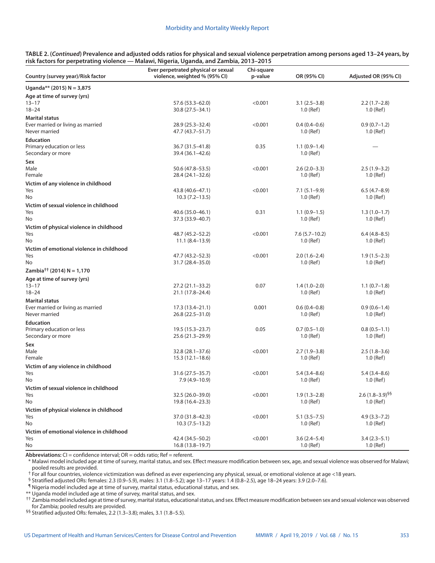| TABLE 2. ( <i>Continued</i> ) Prevalence and adjusted odds ratios for physical and sexual violence perpetration among persons aged 13–24 years, by |  |
|----------------------------------------------------------------------------------------------------------------------------------------------------|--|
| risk factors for perpetrating violence — Malawi, Nigeria, Uganda, and Zambia, 2013–2015                                                            |  |

| Country (survey year)/Risk factor                                           | Ever perpetrated physical or sexual<br>violence, weighted % (95% CI) | Chi-square<br>p-value | OR (95% CI)                     | Adjusted OR (95% CI)                         |
|-----------------------------------------------------------------------------|----------------------------------------------------------------------|-----------------------|---------------------------------|----------------------------------------------|
| Uganda** (2015) N = 3,875                                                   |                                                                      |                       |                                 |                                              |
| Age at time of survey (yrs)<br>$13 - 17$<br>$18 - 24$                       | 57.6 (53.3-62.0)<br>30.8 (27.5 - 34.1)                               | < 0.001               | $3.1(2.5-3.8)$<br>$1.0$ (Ref)   | $2.2(1.7-2.8)$<br>$1.0$ (Ref)                |
| <b>Marital status</b><br>Ever married or living as married<br>Never married | 28.9 (25.3-32.4)<br>47.7 (43.7-51.7)                                 | < 0.001               | $0.4(0.4-0.6)$<br>$1.0$ (Ref)   | $0.9(0.7-1.2)$<br>$1.0$ (Ref)                |
| <b>Education</b><br>Primary education or less<br>Secondary or more          | 36.7 (31.5-41.8)<br>39.4 (36.1-42.6)                                 | 0.35                  | $1.1(0.9-1.4)$<br>$1.0$ (Ref)   |                                              |
| Sex<br>Male<br>Female                                                       | 50.6 (47.8-53.5)<br>28.4 (24.1–32.6)                                 | < 0.001               | $2.6(2.0-3.3)$<br>$1.0$ (Ref)   | $2.5(1.9-3.2)$<br>$1.0$ (Ref)                |
| Victim of any violence in childhood<br>Yes<br>No                            | 43.8 (40.6-47.1)<br>$10.3(7.2 - 13.5)$                               | < 0.001               | $7.1(5.1-9.9)$<br>$1.0$ (Ref)   | $6.5(4.7-8.9)$<br>$1.0$ (Ref)                |
| Victim of sexual violence in childhood<br>Yes<br>No                         | 40.6 (35.0-46.1)<br>37.3 (33.9-40.7)                                 | 0.31                  | $1.1(0.9-1.5)$<br>$1.0$ (Ref)   | $1.3(1.0-1.7)$<br>$1.0$ (Ref)                |
| Victim of physical violence in childhood<br>Yes<br>No                       | 48.7 (45.2-52.2)<br>$11.1 (8.4 - 13.9)$                              | < 0.001               | $7.6(5.7-10.2)$<br>$1.0$ (Ref)  | $6.4(4.8-8.5)$<br>$1.0$ (Ref)                |
| Victim of emotional violence in childhood<br>Yes<br>No                      | 47.7 (43.2–52.3)<br>31.7 (28.4-35.0)                                 | < 0.001               | $2.0(1.6-2.4)$<br>$1.0$ (Ref)   | $1.9(1.5-2.3)$<br>$1.0$ (Ref)                |
| Zambia <sup>††</sup> (2014) N = 1,170                                       |                                                                      |                       |                                 |                                              |
| Age at time of survey (yrs)<br>$13 - 17$<br>$18 - 24$                       | 27.2 (21.1-33.2)<br>21.1 (17.8-24.4)                                 | 0.07                  | $1.4(1.0-2.0)$<br>$1.0$ (Ref)   | $1.1(0.7-1.8)$<br>$1.0$ (Ref)                |
| <b>Marital status</b><br>Ever married or living as married<br>Never married | $17.3(13.4 - 21.1)$<br>26.8 (22.5–31.0)                              | 0.001                 | $0.6(0.4-0.8)$<br>$1.0$ (Ref)   | $0.9(0.6-1.4)$<br>$1.0$ (Ref)                |
| <b>Education</b><br>Primary education or less<br>Secondary or more          | 19.5 (15.3 - 23.7)<br>25.6 (21.3-29.9)                               | 0.05                  | $0.7(0.5-1.0)$<br>$1.0$ (Ref)   | $0.8(0.5-1.1)$<br>$1.0$ (Ref)                |
| Sex<br>Male<br>Female                                                       | 32.8 (28.1-37.6)<br>$15.3(12.1 - 18.6)$                              | < 0.001               | $2.7(1.9-3.8)$<br>$1.0$ (Ref)   | $2.5(1.8-3.6)$<br>$1.0$ (Ref)                |
| Victim of any violence in childhood<br>Yes<br>No                            | 31.6 (27.5 - 35.7)<br>$7.9(4.9 - 10.9)$                              | < 0.001               | $5.4(3.4 - 8.6)$<br>$1.0$ (Ref) | $5.4(3.4 - 8.6)$<br>$1.0$ (Ref)              |
| Victim of sexual violence in childhood<br>Yes<br>No                         | 32.5 (26.0-39.0)<br>19.8 (16.4-23.3)                                 | < 0.001               | $1.9(1.3-2.8)$<br>$1.0$ (Ref)   | 2.6 $(1.8-3.9)$ <sup>§§</sup><br>$1.0$ (Ref) |
| Victim of physical violence in childhood<br>Yes<br>No                       | 37.0 (31.8-42.3)<br>$10.3(7.5-13.2)$                                 | < 0.001               | $5.1(3.5 - 7.5)$<br>$1.0$ (Ref) | $4.9(3.3 - 7.2)$<br>$1.0$ (Ref)              |
| Victim of emotional violence in childhood<br>Yes<br>No                      | 42.4 (34.5 - 50.2)<br>$16.8(13.8 - 19.7)$                            | < 0.001               | $3.6(2.4 - 5.4)$<br>$1.0$ (Ref) | $3.4(2.3-5.1)$<br>$1.0$ (Ref)                |

**Abbreviations:** CI = confidence interval; OR = odds ratio; Ref = referent.

\* Malawi model included age at time of survey, marital status, and sex. Effect measure modification between sex, age, and sexual violence was observed for Malawi; pooled results are provided.

† For all four countries, violence victimization was defined as ever experiencing any physical, sexual, or emotional violence at age <18 years.

§ Stratified adjusted ORs: females: 2.3 (0.9–5.9), males: 3.1 (1.8–5.2); age 13–17 years: 1.4 (0.8–2.5), age 18–24 years: 3.9 (2.0–7.6).

¶ Nigeria model included age at time of survey, marital status, educational status, and sex. \*\* Uganda model included age at time of survey, marital status, and sex.

†† Zambia model included age at time of survey, marital status, educational status, and sex. Effect measure modification between sex and sexual violence was observed for Zambia; pooled results are provided.

§§ Stratified adjusted ORs: females, 2.2 (1.3–3.8); males, 3.1 (1.8–5.5).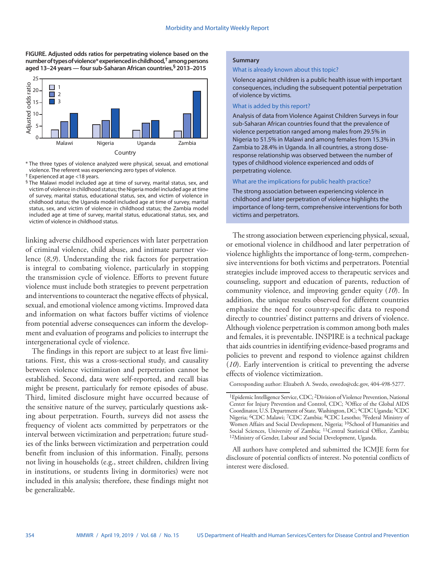**FIGURE. Adjusted odds ratios for perpetrating violence based on the number of types of violence\* experienced in childhood,† among persons aged 13–24 years — four sub-Saharan African countries,§ 2013–2015**



\* The three types of violence analyzed were physical, sexual, and emotional violence. The referent was experiencing zero types of violence.

linking adverse childhood experiences with later perpetration of criminal violence, child abuse, and intimate partner violence (*8*,*9*). Understanding the risk factors for perpetration is integral to combating violence, particularly in stopping the transmission cycle of violence. Efforts to prevent future violence must include both strategies to prevent perpetration and interventions to counteract the negative effects of physical, sexual, and emotional violence among victims. Improved data and information on what factors buffer victims of violence from potential adverse consequences can inform the development and evaluation of programs and policies to interrupt the intergenerational cycle of violence.

The findings in this report are subject to at least five limitations. First, this was a cross-sectional study, and causality between violence victimization and perpetration cannot be established. Second, data were self-reported, and recall bias might be present, particularly for remote episodes of abuse. Third, limited disclosure might have occurred because of the sensitive nature of the survey, particularly questions asking about perpetration. Fourth, surveys did not assess the frequency of violent acts committed by perpetrators or the interval between victimization and perpetration; future studies of the links between victimization and perpetration could benefit from inclusion of this information. Finally, persons not living in households (e.g., street children, children living in institutions, or students living in dormitories) were not included in this analysis; therefore, these findings might not be generalizable.

# **Summary**

#### What is already known about this topic?

Violence against children is a public health issue with important consequences, including the subsequent potential perpetration of violence by victims.

## What is added by this report?

Analysis of data from Violence Against Children Surveys in four sub-Saharan African countries found that the prevalence of violence perpetration ranged among males from 29.5% in Nigeria to 51.5% in Malawi and among females from 15.3% in Zambia to 28.4% in Uganda. In all countries, a strong doseresponse relationship was observed between the number of types of childhood violence experienced and odds of perpetrating violence.

#### What are the implications for public health practice?

The strong association between experiencing violence in childhood and later perpetration of violence highlights the importance of long-term, comprehensive interventions for both victims and perpetrators.

The strong association between experiencing physical, sexual, or emotional violence in childhood and later perpetration of violence highlights the importance of long-term, comprehensive interventions for both victims and perpetrators. Potential strategies include improved access to therapeutic services and counseling, support and education of parents, reduction of community violence, and improving gender equity (*10*). In addition, the unique results observed for different countries emphasize the need for country-specific data to respond directly to countries' distinct patterns and drivers of violence. Although violence perpetration is common among both males and females, it is preventable. INSPIRE is a technical package that aids countries in identifying evidence-based programs and policies to prevent and respond to violence against children (*10*). Early intervention is critical to preventing the adverse effects of violence victimization.

Corresponding author: Elizabeth A. Swedo, [eswedo@cdc.gov](mailto:eswedo@cdc.gov), 404-498-5277.

All authors have completed and submitted the ICMJE form for disclosure of potential conflicts of interest. No potential conflicts of interest were disclosed.

<sup>†</sup> Experienced at age <18 years.

<sup>§</sup> The Malawi model included age at time of survey, marital status, sex, and victim of violence in childhood status; the Nigeria model included age at time of survey, marital status, educational status, sex, and victim of violence in childhood status; the Uganda model included age at time of survey, marital status, sex, and victim of violence in childhood status; the Zambia model included age at time of survey, marital status, educational status, sex, and victim of violence in childhood status.

<sup>&</sup>lt;sup>1</sup>Epidemic Intelligence Service, CDC; <sup>2</sup>Division of Violence Prevention, National Center for Injury Prevention and Control, CDC; 3Office of the Global AIDS Coordinator, U.S. Department of State, Washington, DC; <sup>4</sup>CDC Uganda; <sup>5</sup>CDC Nigeria; 6CDC Malawi; 7CDC Zambia; 8CDC Lesotho; 9Federal Ministry of Women Affairs and Social Development, Nigeria; 10School of Humanities and Social Sciences, University of Zambia; <sup>11</sup>Central Statistical Office, Zambia; <sup>12</sup>Ministry of Gender, Labour and Social Development, Uganda.